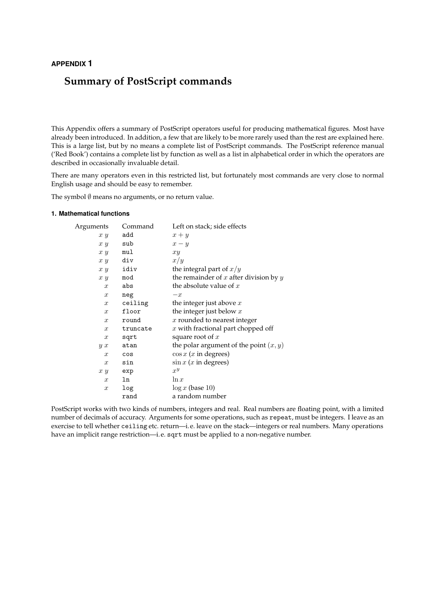# APPENDIX 1

# Summary of PostScript commands

This Appendix offers a summary of PostScript operators useful for producing mathematical figures. Most have already been introduced. In addition, a few that are likely to be more rarely used than the rest are explained here. This is a large list, but by no means a complete list of PostScript commands. The PostScript reference manual ('Red Book') contains a complete list by function as well as a list in alphabetical order in which the operators are described in occasionally invaluable detail.

There are many operators even in this restricted list, but fortunately most commands are very close to normal English usage and should be easy to remember.

The symbol Ø means no arguments, or no return value.

# 1. Mathematical functions

| Arguments        | Command  | Left on stack; side effects                |
|------------------|----------|--------------------------------------------|
| x y              | add      | $x + y$                                    |
| x y              | sub      | $x - y$                                    |
| x y              | mul      | xy                                         |
| x y              | div      | x/y                                        |
| x y              | idiv     | the integral part of $x/y$                 |
| x y              | mod      | the remainder of $x$ after division by $y$ |
| $\boldsymbol{x}$ | abs      | the absolute value of $x$                  |
| $\boldsymbol{x}$ | neg      | $-x$                                       |
| $\boldsymbol{x}$ | ceiling  | the integer just above $x$                 |
| $\boldsymbol{x}$ | floor    | the integer just below $x$                 |
| $\boldsymbol{x}$ | round    | x rounded to nearest integer               |
| $\boldsymbol{x}$ | truncate | $x$ with fractional part chopped off       |
| $\boldsymbol{x}$ | sqrt     | square root of $x$                         |
| y x              | atan     | the polar argument of the point $(x, y)$   |
| $\boldsymbol{x}$ | cos      | $\cos x$ ( <i>x</i> in degrees)            |
| $\boldsymbol{x}$ | sin      | $\sin x$ ( <i>x</i> in degrees)            |
| x y              | exp      | $x^y$                                      |
| $\boldsymbol{x}$ | ln       | $\ln x$                                    |
| $\boldsymbol{x}$ | log      | $\log x$ (base 10)                         |
|                  | rand     | a random number                            |
|                  |          |                                            |

PostScript works with two kinds of numbers, integers and real. Real numbers are floating point, with a limited number of decimals of accuracy. Arguments for some operations, such as repeat, must be integers. I leave as an exercise to tell whether ceiling etc. return—i.e. leave on the stack—integers or real numbers. Many operations have an implicit range restriction—i.e. sqrt must be applied to a non-negative number.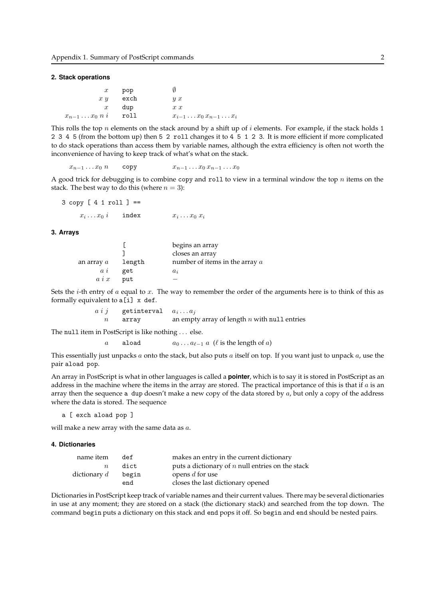#### 2. Stack operations

| $\boldsymbol{x}$         | pop  | N                                       |
|--------------------------|------|-----------------------------------------|
| x y                      | exch | y x                                     |
| $\boldsymbol{x}$         | dup  | x x                                     |
| $x_{n-1} \ldots x_0$ n i | roll | $x_{i-1} \ldots x_0 x_{n-1} \ldots x_i$ |

This rolls the top n elements on the stack around by a shift up of  $i$  elements. For example, if the stack holds 1 2 3 4 5 (from the bottom up) then 5 2 roll changes it to 4 5 1 2 3. It is more efficient if more complicated to do stack operations than access them by variable names, although the extra efficiency is often not worth the inconvenience of having to keep track of what's what on the stack.

 $x_{n-1} \ldots x_0 \; n \qquad \text{copy} \qquad x_{n-1} \ldots x_0 \; x_{n-1} \ldots x_0$ 

A good trick for debugging is to combine copy and roll to view in a terminal window the top  $n$  items on the stack. The best way to do this (where  $n = 3$ ):

3 copy [ 4 1 roll ] ==

 $x_i \dots x_0$  i index  $x_i$  $x_i \ldots x_0 x_i$ 

3. Arrays

|                |        | begins an array                  |
|----------------|--------|----------------------------------|
|                |        | closes an array                  |
| an array $a$   | length | number of items in the array $a$ |
| a <sub>i</sub> | get    | $a_i$                            |
| a i x          | put    |                                  |

Sets the *i*-th entry of a equal to x. The way to remember the order of the arguments here is to think of this as formally equivalent to  $a[i]$  x def.

> $a i j$  getinterval  $a_i \ldots a_j$  $n$  array an empty array of length  $n$  with null entries

The null item in PostScript is like nothing . . . else.

a aload  $a_0 \dots a_{\ell-1}$  a ( $\ell$  is the length of a)

This essentially just unpacks  $a$  onto the stack, but also puts  $a$  itself on top. If you want just to unpack  $a$ , use the pair aload pop.

An array in PostScript is what in other languages is called a **pointer**, which is to say it is stored in PostScript as an address in the machine where the items in the array are stored. The practical importance of this is that if  $a$  is an array then the sequence a dup doesn't make a new copy of the data stored by  $\alpha$ , but only a copy of the address where the data is stored. The sequence

a [ exch aload pop ]

will make a new array with the same data as  $a$ .

#### 4. Dictionaries

| name item      | def   | makes an entry in the current dictionary           |
|----------------|-------|----------------------------------------------------|
| $n_{\rm c}$    | dict  | puts a dictionary of $n$ null entries on the stack |
| dictionary $d$ | begin | opens $d$ for use                                  |
|                | end   | closes the last dictionary opened                  |

Dictionaries in PostScript keep track of variable names and their current values. There may be several dictionaries in use at any moment; they are stored on a stack (the dictionary stack) and searched from the top down. The command begin puts a dictionary on this stack and end pops it off. So begin and end should be nested pairs.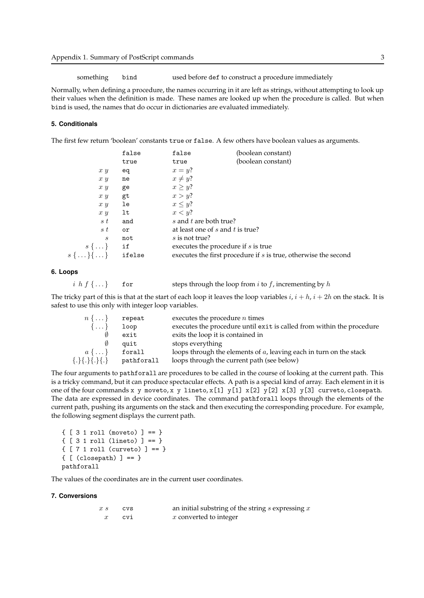something bind used before def to construct a procedure immediately

Normally, when defining a procedure, the names occurring in it are left as strings, without attempting to look up their values when the definition is made. These names are looked up when the procedure is called. But when bind is used, the names that do occur in dictionaries are evaluated immediately.

# 5. Conditionals

The first few return 'boolean' constants true or false. A few others have boolean values as arguments.

|                         | false  | false                  | (boolean constant)                                                |  |
|-------------------------|--------|------------------------|-------------------------------------------------------------------|--|
|                         | true   | true                   | (boolean constant)                                                |  |
| x y                     | eq     | $x=y$ ?                |                                                                   |  |
| x y                     | ne     | $x \neq y$ ?           |                                                                   |  |
| x y                     | ge     | $x \geq y$ ?           |                                                                   |  |
| x y                     | gt     | $x > y$ ?              |                                                                   |  |
| x y                     | le     | $x \leq y$ ?           |                                                                   |  |
| x y                     | lt     | $x < y$ ?              |                                                                   |  |
| s t                     | and    | s and t are both true? |                                                                   |  |
| s t                     | or     |                        | at least one of s and t is true?                                  |  |
| S                       | not    | s is not true?         |                                                                   |  |
| $s\{\ldots\}$           | if     |                        | executes the procedure if $s$ is true                             |  |
| $s\{\ldots\}\{\ldots\}$ | ifelse |                        | executes the first procedure if $s$ is true, otherwise the second |  |
|                         |        |                        |                                                                   |  |

#### 6. Loops

|  | $i \; h \; f \; \{\ldots\}$ |  | for | steps through the loop from $i$ to $f$ , incrementing by $h$ |  |  |
|--|-----------------------------|--|-----|--------------------------------------------------------------|--|--|
|--|-----------------------------|--|-----|--------------------------------------------------------------|--|--|

The tricky part of this is that at the start of each loop it leaves the loop variables  $i$ ,  $i + h$ ,  $i + 2h$  on the stack. It is safest to use this only with integer loop variables.

| $n\{\ldots\}$             | repeat     | executes the procedure $n$ times                                      |
|---------------------------|------------|-----------------------------------------------------------------------|
| $\{ \ldots \}$            | loop       | executes the procedure until exit is called from within the procedure |
|                           | exit       | exits the loop it is contained in                                     |
| Ø                         | auit       | stops everything                                                      |
| $a\{\ldots\}$             | forall     | loops through the elements of $a$ , leaving each in turn on the stack |
| $\{.\} \{.\} \{.\} \{.\}$ | pathforall | loops through the current path (see below)                            |

The four arguments to pathforall are procedures to be called in the course of looking at the current path. This is a tricky command, but it can produce spectacular effects. A path is a special kind of array. Each element in it is one of the four commands x y moveto, x y lineto, x[1] y[1] x[2] y[2] x[3] y[3] curveto, closepath. The data are expressed in device coordinates. The command pathforall loops through the elements of the current path, pushing its arguments on the stack and then executing the corresponding procedure. For example, the following segment displays the current path.

 $\{ [ 3 1$  roll (moveto) ] ==  $\}$ { [ 3 1 roll (lineto) ] == }  ${ [ 7 1 roll (curveto) ] =}$  ${ [ (closepath) ] == }$ pathforall

The values of the coordinates are in the current user coordinates.

# 7. Conversions

| $x\ s$ | cvs | an initial substring of the string $s$ expressing $x$ |
|--------|-----|-------------------------------------------------------|
|        | cvi | <i>x</i> converted to integer                         |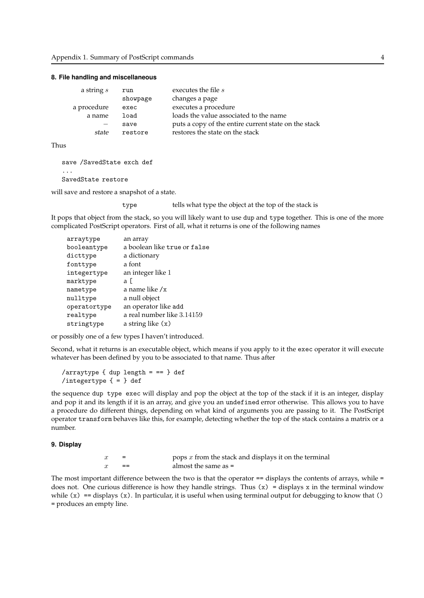#### 8. File handling and miscellaneous

| run      | executes the file s                                  |
|----------|------------------------------------------------------|
| showpage | changes a page                                       |
| exec     | executes a procedure                                 |
| load     | loads the value associated to the name               |
| save     | puts a copy of the entire current state on the stack |
| restore  | restores the state on the stack                      |
|          |                                                      |

Thus

```
save /SavedState exch def
...
SavedState restore
```
will save and restore a snapshot of a state.

type tells what type the object at the top of the stack is

It pops that object from the stack, so you will likely want to use dup and type together. This is one of the more complicated PostScript operators. First of all, what it returns is one of the following names

| arraytype    | an array                     |
|--------------|------------------------------|
| booleantype  | a boolean like true or false |
| dicttype     | a dictionary                 |
| fonttype     | a font                       |
| integertype  | an integer like 1            |
| marktype     | аΓ                           |
| nametype     | a name like /x               |
| nulltype     | a null object                |
| operatortype | an operator like add         |
| realtype     | a real number like 3.14159   |
| stringtype   | a string like (x)            |

or possibly one of a few types I haven't introduced.

Second, what it returns is an executable object, which means if you apply to it the exec operator it will execute whatever has been defined by you to be associated to that name. Thus after

```
/arraytype \{ dup length = == \} def
/integertype { = } def
```
the sequence dup type exec will display and pop the object at the top of the stack if it is an integer, display and pop it and its length if it is an array, and give you an undefined error otherwise. This allows you to have a procedure do different things, depending on what kind of arguments you are passing to it. The PostScript operator transform behaves like this, for example, detecting whether the top of the stack contains a matrix or a number.

# 9. Display

|                  |      | pops $x$ from the stack and displays it on the terminal |
|------------------|------|---------------------------------------------------------|
| $\boldsymbol{x}$ | $==$ | almost the same as $=$                                  |

The most important difference between the two is that the operator == displays the contents of arrays, while = does not. One curious difference is how they handle strings. Thus  $(x)$  = displays x in the terminal window while  $(x)$  == displays  $(x)$ . In particular, it is useful when using terminal output for debugging to know that () = produces an empty line.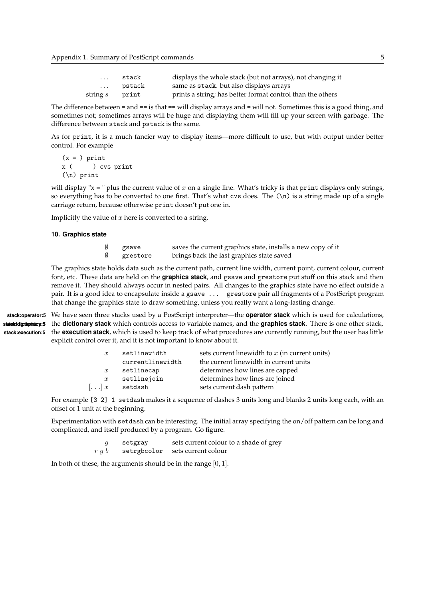| $\cdot$ $\cdot$ $\cdot$ | stack  | displays the whole stack (but not arrays), not changing it |
|-------------------------|--------|------------------------------------------------------------|
| $\cdots$                | pstack | same as stack. but also displays arrays                    |
| string s                | print  | prints a string; has better format control than the others |

The difference between = and == is that == will display arrays and = will not. Sometimes this is a good thing, and sometimes not; sometimes arrays will be huge and displaying them will fill up your screen with garbage. The difference between stack and pstack is the same.

As for print, it is a much fancier way to display items—more difficult to use, but with output under better control. For example

```
(x = ) print
x ( ) cvs print
(\n) print
```
will display " $x =$  " plus the current value of x on a single line. What's tricky is that print displays only strings, so everything has to be converted to one first. That's what cvs does. The  $(\nabla)$  is a string made up of a single carriage return, because otherwise print doesn't put one in.

Implicitly the value of  $x$  here is converted to a string.

#### 10. Graphics state

| Ø | gsave    | saves the current graphics state, installs a new copy of it |
|---|----------|-------------------------------------------------------------|
| Ø | grestore | brings back the last graphics state saved                   |

The graphics state holds data such as the current path, current line width, current point, current colour, current font, etc. These data are held on the **graphics stack**, and gsave and grestore put stuff on this stack and then remove it. They should always occur in nested pairs. All changes to the graphics state have no effect outside a pair. It is a good idea to encapsulate inside a gsave ... grestore pair all fragments of a PostScript program that change the graphics state to draw something, unless you really want a long-lasting change.

stack:operator:5 We have seen three stacks used by a PostScript interpreter—the operator stack which is used for calculations, state continuity that dictionary stack which controls access to variable names, and the graphics stack. There is one other stack, stack:execution:5 the execution stack, which is used to keep track of what procedures are currently running, but the user has little explicit control over it, and it is not important to know about it.

| $\boldsymbol{x}$       | setlinewidth     | sets current linewidth to $x$ (in current units) |
|------------------------|------------------|--------------------------------------------------|
|                        | currentlinewidth | the current linewidth in current units           |
| $\boldsymbol{x}$       | setlinecap       | determines how lines are capped                  |
| $\boldsymbol{x}$       | setlinejoin      | determines how lines are joined                  |
| $\left[\ldots\right]x$ | setdash          | sets current dash pattern                        |

For example [3 2] 1 setdash makes it a sequence of dashes 3 units long and blanks 2 units long each, with an offset of 1 unit at the beginning.

Experimentation with setdash can be interesting. The initial array specifying the on/off pattern can be long and complicated, and itself produced by a program. Go figure.

> $g$  setgray sets current colour to a shade of grey  $r g b$  setrgbcolor sets current colour

In both of these, the arguments should be in the range  $[0, 1]$ .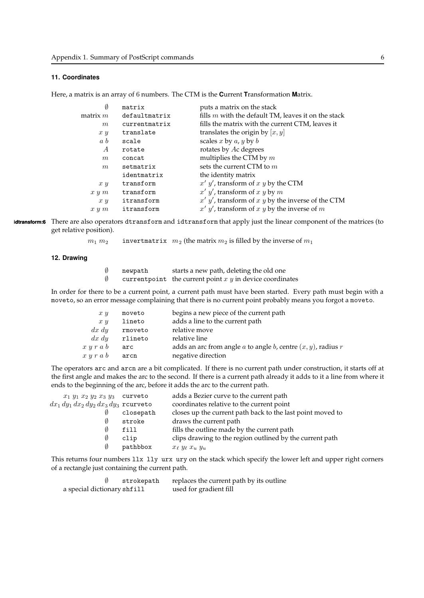# 11. Coordinates

Here, a matrix is an array of 6 numbers. The CTM is the Current Transformation Matrix.

| Ø              | matrix        | puts a matrix on the stack                            |
|----------------|---------------|-------------------------------------------------------|
| matrix $m$     | defaultmatrix | fills $m$ with the default TM, leaves it on the stack |
| m              | currentmatrix | fills the matrix with the current CTM, leaves it      |
| x y            | translate     | translates the origin by $[x, y]$                     |
| a b            | scale         | scales x by a, y by b                                 |
| $\overline{A}$ | rotate        | rotates by Ac degrees                                 |
| m              | concat        | multiplies the CTM by $m$                             |
| m              | setmatrix     | sets the current CTM to $m$                           |
|                | identmatrix   | the identity matrix                                   |
| x y            | transform     | $x'$ y', transform of $x$ y by the CTM                |
| x y m          | transform     | $x'$ y', transform of x y by m                        |
| x y            | itransform    | $x'$ y', transform of $x$ y by the inverse of the CTM |
| $x\ y\ m$      | itransform    | $x'$ y', transform of x y by the inverse of m         |

idtransform:6 There are also operators dtransform and idtransform that apply just the linear component of the matrices (to get relative position).

 $m_1$   $m_2$  invertmatrix  $m_2$  (the matrix  $m_2$  is filled by the inverse of  $m_1$ 

### 12. Drawing

| Ø | newpath | starts a new path, deleting the old one                       |
|---|---------|---------------------------------------------------------------|
| Ø |         | current point the current point $x$ $y$ in device coordinates |

In order for there to be a current point, a current path must have been started. Every path must begin with a moveto, so an error message complaining that there is no current point probably means you forgot a moveto.

| x y       | moveto  | begins a new piece of the current path                          |
|-----------|---------|-----------------------------------------------------------------|
| x y       | lineto  | adds a line to the current path                                 |
| $dx\,dy$  | rmoveto | relative move                                                   |
| dx dy     | rlineto | relative line                                                   |
| x y r a b | arc     | adds an arc from angle a to angle b, centre $(x, y)$ , radius r |
| x y r a b | arcn    | negative direction                                              |
|           |         |                                                                 |

The operators arc and arcn are a bit complicated. If there is no current path under construction, it starts off at the first angle and makes the arc to the second. If there is a current path already it adds to it a line from where it ends to the beginning of the arc, before it adds the arc to the current path.

| $x_1 y_1 x_2 y_2 x_3 y_3$ curveto        | adds a Bezier curve to the current path                    |
|------------------------------------------|------------------------------------------------------------|
| $dx_1 dy_1 dx_2 dy_2 dx_3 dy_3$ rcurveto | coordinates relative to the current point                  |
| closepath                                | closes up the current path back to the last point moved to |
| stroke                                   | draws the current path                                     |
| fill                                     | fills the outline made by the current path                 |
| clip                                     | clips drawing to the region outlined by the current path   |
| pathbbox                                 | $x_{\ell} y_{\ell} x_u y_u$                                |
|                                          |                                                            |

This returns four numbers llx lly urx ury on the stack which specify the lower left and upper right corners of a rectangle just containing the current path.

|                             | strokepath | replaces the current path by its outline |
|-----------------------------|------------|------------------------------------------|
| a special dictionary shfill |            | used for gradient fill                   |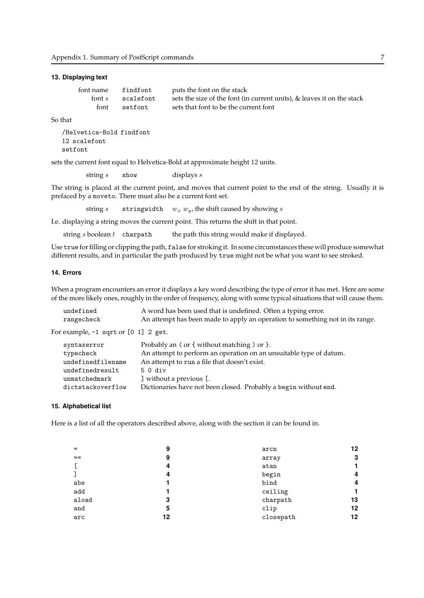# 13. Displaying text

| font name | findfont  | puts the font on the stack                                             |
|-----------|-----------|------------------------------------------------------------------------|
| font s    | scalefont | sets the size of the font (in current units), & leaves it on the stack |
| font      | setfont   | sets that font to be the current font                                  |

So that

```
/Helvetica-Bold findfont
12 scalefont
setfont
```
sets the current font equal to Helvetica-Bold at approximate height 12 units.

string  $s$  show displays  $s$ 

The string is placed at the current point, and moves that current point to the end of the string. Usually it is prefaced by a moveto. There must also be a current font set.

string s stringwidth  $w_x w_y$ , the shift caused by showing s

I.e. displaying a string moves the current point. This returns the shift in that point.

string  $s$  boolean  $t$  charpath the path this string would make if displayed.

Use true for filling or clipping the path, false for stroking it. In some circumstances these will produce somewhat different results, and in particular the path produced by true might not be what you want to see stroked.

## 14. Errors

When a program encounters an error it displays a key word describing the type of error it has met. Here are some of the more likely ones, roughly in the order of frequency, along with some typical situations that will cause them.

| undefined  | A word has been used that is undefined. Often a typing error.                 |
|------------|-------------------------------------------------------------------------------|
| rangecheck | An attempt has been made to apply an operation to something not in its range. |

For example, -1 sqrt or [0 1] 2 get.

| syntaxerror       | Probably an (or { without matching ) or }.                         |
|-------------------|--------------------------------------------------------------------|
| typecheck         | An attempt to perform an operation on an unsuitable type of datum. |
| undefinedfilename | An attempt to run a file that doesn't exist.                       |
| undefinedresult   | 50div                                                              |
| unmatchedmark     | ] without a previous [.                                            |
| dictstackoverflow | Dictionaries have not been closed. Probably a begin without end.   |

## 15. Alphabetical list

Here is a list of all the operators described above, along with the section it can be found in.

| $=$   | 9  | arcn      | 12              |
|-------|----|-----------|-----------------|
| $==$  | 9  | array     | 3               |
|       | 4  | atan      | 1               |
|       | 4  | begin     | 4               |
| abs   |    | bind      | 4               |
| add   |    | ceiling   |                 |
| aload | 3  | charpath  | 13              |
| and   | 5  | clip      | 12              |
| arc   | 12 | closepath | 12 <sub>2</sub> |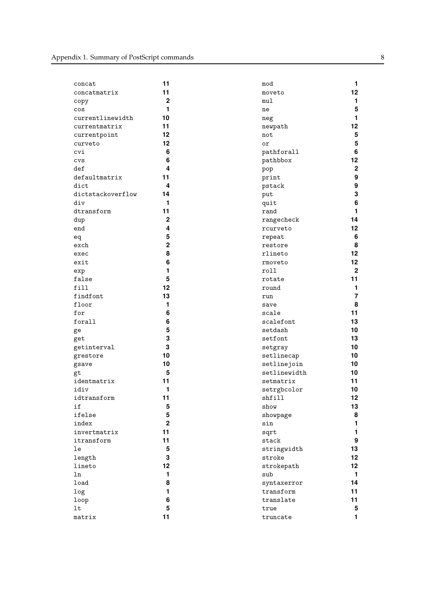| concat            | 11                      | mod          | 1                |
|-------------------|-------------------------|--------------|------------------|
| concatmatrix      | 11                      | moveto       | 12               |
| copy              | $\mathbf{2}$            | mul          | 1                |
| cos               | 1                       | ne           | 5                |
| currentlinewidth  | 10                      | neg          | 1                |
| currentmatrix     | 11                      | newpath      | 12               |
| currentpoint      | 12                      | not          | 5                |
| curveto           | 12                      | or           | 5                |
| cvi               | 6                       | pathforall   | 6                |
| cvs               | 6                       | pathbbox     | 12               |
| def               | 4                       | pop          | $\boldsymbol{2}$ |
| defaultmatrix     | 11                      | print        | 9                |
| dict              | 4                       | pstack       | 9                |
| dictstackoverflow | 14                      | put          | 3                |
| div               | 1                       | quit         | 6                |
| dtransform        | 11                      | rand         | 1                |
| dup               | $\overline{\mathbf{c}}$ | rangecheck   | 14               |
| end               | 4                       | rcurveto     | 12               |
| eq                | 5                       | repeat       | 6                |
| exch              | $\mathbf 2$             | restore      | 8                |
| exec              | 8                       | rlineto      | 12               |
| exit              | 6                       | rmoveto      | 12               |
| exp               | 1                       | roll         | $\mathbf{2}$     |
| false             | 5                       | rotate       | 11               |
| fill              | 12                      | round        | 1                |
| findfont          | 13                      | run          | 7                |
| floor             | 1                       | save         | 8                |
| for               | 6                       | scale        | 11               |
| forall            | 6                       | scalefont    | 13               |
| ge                | 5                       | setdash      | 10               |
| get               | 3                       | setfont      | 13               |
| getinterval       | 3                       | setgray      | 10               |
| grestore          | 10                      | setlinecap   | 10               |
| gsave             | 10                      | setlinejoin  | 10               |
| gt                | 5                       | setlinewidth | 10               |
| identmatrix       | 11                      | setmatrix    | 11               |
| idiv              | 1                       | setrgbcolor  | 10               |
| idtransform       | 11                      | shfill       | 12               |
| if                | 5                       | show         | 13               |
| ifelse            | 5                       | showpage     | 8                |
| index             | $\overline{2}$          | sin          | 1                |
| invertmatrix      | 11                      | sqrt         | 1                |
| itransform        | 11                      | stack        | 9                |
| le                | 5                       | stringwidth  | 13               |
| length            | 3                       | stroke       | 12               |
| lineto            | 12                      | strokepath   | 12               |
| ln                | 1                       | sub          | $\mathbf{1}$     |
| load              | 8                       | syntaxerror  | 14               |
| log               | 1                       | transform    | 11               |
| loop              | 6                       | translate    | 11               |
| 1 <sub>t</sub>    | 5                       | true         | 5                |
| matrix            | 11                      | truncate     | $\mathbf{1}$     |